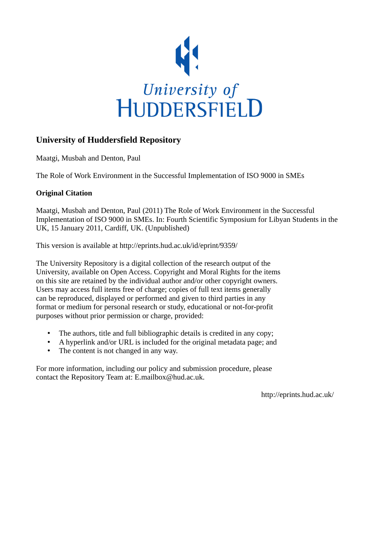

# **University of Huddersfield Repository**

Maatgi, Musbah and Denton, Paul

The Role of Work Environment in the Successful Implementation of ISO 9000 in SMEs

## **Original Citation**

Maatgi, Musbah and Denton, Paul (2011) The Role of Work Environment in the Successful Implementation of ISO 9000 in SMEs. In: Fourth Scientific Symposium for Libyan Students in the UK, 15 January 2011, Cardiff, UK. (Unpublished)

This version is available at http://eprints.hud.ac.uk/id/eprint/9359/

The University Repository is a digital collection of the research output of the University, available on Open Access. Copyright and Moral Rights for the items on this site are retained by the individual author and/or other copyright owners. Users may access full items free of charge; copies of full text items generally can be reproduced, displayed or performed and given to third parties in any format or medium for personal research or study, educational or not-for-profit purposes without prior permission or charge, provided:

- The authors, title and full bibliographic details is credited in any copy;
- A hyperlink and/or URL is included for the original metadata page; and
- The content is not changed in any way.

For more information, including our policy and submission procedure, please contact the Repository Team at: E.mailbox@hud.ac.uk.

http://eprints.hud.ac.uk/